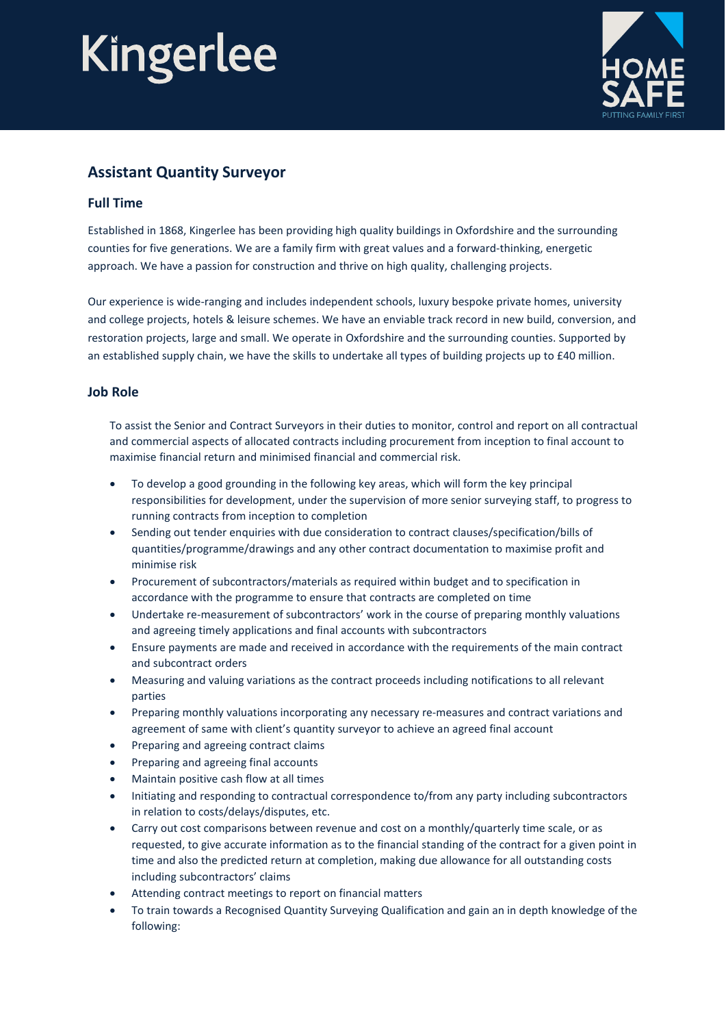# Kingerlee



### **Assistant Quantity Surveyor**

#### **Full Time**

Established in 1868, Kingerlee has been providing high quality buildings in Oxfordshire and the surrounding counties for five generations. We are a family firm with great values and a forward-thinking, energetic approach. We have a passion for construction and thrive on high quality, challenging projects.

Our experience is wide-ranging and includes independent schools, luxury bespoke private homes, university and college projects, hotels & leisure schemes. We have an enviable track record in new build, conversion, and restoration projects, large and small. We operate in Oxfordshire and the surrounding counties. Supported by an established supply chain, we have the skills to undertake all types of building projects up to £40 million.

#### **Job Role**

To assist the Senior and Contract Surveyors in their duties to monitor, control and report on all contractual and commercial aspects of allocated contracts including procurement from inception to final account to maximise financial return and minimised financial and commercial risk.

- To develop a good grounding in the following key areas, which will form the key principal responsibilities for development, under the supervision of more senior surveying staff, to progress to running contracts from inception to completion
- Sending out tender enquiries with due consideration to contract clauses/specification/bills of quantities/programme/drawings and any other contract documentation to maximise profit and minimise risk
- Procurement of subcontractors/materials as required within budget and to specification in accordance with the programme to ensure that contracts are completed on time
- Undertake re-measurement of subcontractors' work in the course of preparing monthly valuations and agreeing timely applications and final accounts with subcontractors
- Ensure payments are made and received in accordance with the requirements of the main contract and subcontract orders
- Measuring and valuing variations as the contract proceeds including notifications to all relevant parties
- Preparing monthly valuations incorporating any necessary re-measures and contract variations and agreement of same with client's quantity surveyor to achieve an agreed final account
- Preparing and agreeing contract claims
- Preparing and agreeing final accounts
- Maintain positive cash flow at all times
- Initiating and responding to contractual correspondence to/from any party including subcontractors in relation to costs/delays/disputes, etc.
- Carry out cost comparisons between revenue and cost on a monthly/quarterly time scale, or as requested, to give accurate information as to the financial standing of the contract for a given point in time and also the predicted return at completion, making due allowance for all outstanding costs including subcontractors' claims
- Attending contract meetings to report on financial matters
- To train towards a Recognised Quantity Surveying Qualification and gain an in depth knowledge of the following: